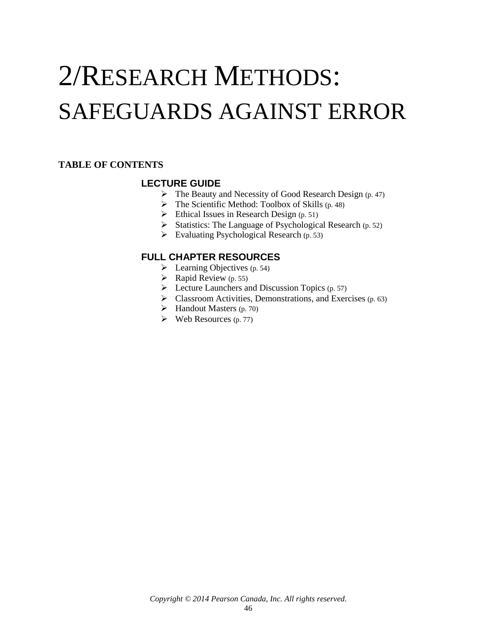# 2/RESEARCH METHODS: SAFEGUARDS AGAINST ERROR

# <span id="page-0-0"></span>**TABLE OF CONTENTS**

# **LECTURE GUIDE**

- $\triangleright$  The Beauty and Necessity of Good Research Design (p. 47)
- $\triangleright$  The Scientific Method: Toolbox of Skills (p. 48)
- $\triangleright$  Ethical Issues in Research Design (p. 51)
- $\triangleright$  Statistics: The Language of Psychological Research (p. 52)
- $\triangleright$  Evaluating Psychological Research (p. 53)

# **FULL CHAPTER RESOURCES**

- $\blacktriangleright$  Learning Objectives (p. 54)
- $\triangleright$  Rapid Review (p. 55)
- $\triangleright$  Lecture Launchers and Discussion Topics (p. 57)
- $\triangleright$  Classroom Activities, Demonstrations, and Exercises (p. 63)
- $\blacktriangleright$  Handout Masters (p. 70)
- $\triangleright$  Web Resources (p. 77)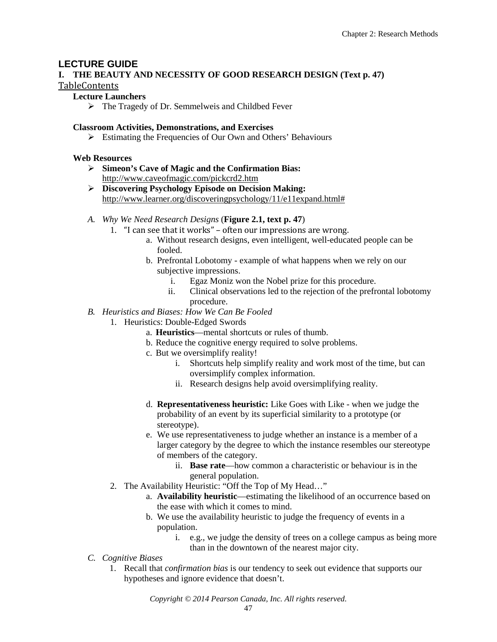# **LECTURE GUIDE**

# **I. THE BEAUTY AND NECESSITY OF GOOD RESEARCH DESIGN (Text p. 47)** [TableContents](#page-0-0)

#### **Lecture Launchers**

The Tragedy of Dr. Semmelweis and Childbed Fever

#### **Classroom Activities, Demonstrations, and Exercises**

 $\triangleright$  Estimating the Frequencies of Our Own and Others' Behaviours

#### **Web Resources**

- **Simeon's Cave of Magic and the Confirmation Bias:**  <http://www.caveofmagic.com/pickcrd2.htm>
- **Discovering Psychology Episode on Decision Making:**  [http://www.learner.org/discoveringpsychology/11/e11expand.html#](http://www.learner.org/discoveringpsychology/11/e11expand.html)
- *A. Why We Need Research Designs* (**Figure 2.1, text p. 47**)
	- 1. "I can see that it works" often our impressions are wrong.
		- a. Without research designs, even intelligent, well-educated people can be fooled.
		- b. Prefrontal Lobotomy example of what happens when we rely on our subjective impressions.
			- i. Egaz Moniz won the Nobel prize for this procedure.
			- ii. Clinical observations led to the rejection of the prefrontal lobotomy procedure.
- *B. Heuristics and Biases: How We Can Be Fooled*
	- 1. Heuristics: Double-Edged Swords
		- a. **Heuristics**—mental shortcuts or rules of thumb.
		- b. Reduce the cognitive energy required to solve problems.
		- c. But we oversimplify reality!
			- i. Shortcuts help simplify reality and work most of the time, but can oversimplify complex information.
			- ii. Research designs help avoid oversimplifying reality.
		- d. **Representativeness heuristic:** Like Goes with Like when we judge the probability of an event by its superficial similarity to a prototype (or stereotype).
		- e. We use representativeness to judge whether an instance is a member of a larger category by the degree to which the instance resembles our stereotype of members of the category.
			- ii. **Base rate**—how common a characteristic or behaviour is in the general population.
	- 2. The Availability Heuristic: "Off the Top of My Head…"
		- a. **Availability heuristic**—estimating the likelihood of an occurrence based on the ease with which it comes to mind.
		- b. We use the availability heuristic to judge the frequency of events in a population.
			- i. e.g., we judge the density of trees on a college campus as being more than in the downtown of the nearest major city.
- *C. Cognitive Biases*
	- 1. Recall that *confirmation bias* is our tendency to seek out evidence that supports our hypotheses and ignore evidence that doesn't.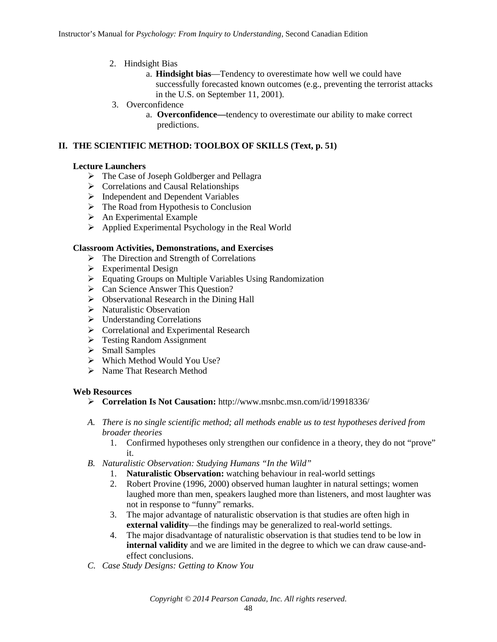- 2. Hindsight Bias
	- a. **Hindsight bias**—Tendency to overestimate how well we could have successfully forecasted known outcomes (e.g., preventing the terrorist attacks in the U.S. on September 11, 2001).
- 3. Overconfidence
	- a. **Overconfidence—**tendency to overestimate our ability to make correct predictions.

# **II. THE SCIENTIFIC METHOD: TOOLBOX OF SKILLS (Text, p. 51)**

# **Lecture Launchers**

- The Case of Joseph Goldberger and Pellagra
- $\triangleright$  Correlations and Causal Relationships
- > Independent and Dependent Variables
- $\triangleright$  The Road from Hypothesis to Conclusion
- $\triangleright$  An Experimental Example
- Applied Experimental Psychology in the Real World

#### **Classroom Activities, Demonstrations, and Exercises**

- $\triangleright$  The Direction and Strength of Correlations
- $\triangleright$  Experimental Design
- Equating Groups on Multiple Variables Using Randomization
- ▶ Can Science Answer This Question?
- $\triangleright$  Observational Research in the Dining Hall
- $\triangleright$  Naturalistic Observation
- > Understanding Correlations
- > Correlational and Experimental Research
- > Testing Random Assignment
- $\triangleright$  Small Samples
- $\triangleright$  Which Method Would You Use?
- > Name That Research Method

#### **Web Resources**

- **Correlation Is Not Causation:** http://www.msnbc.msn.com/id/19918336/
- *A. There is no single scientific method; all methods enable us to test hypotheses derived from broader theories*
	- 1. Confirmed hypotheses only strengthen our confidence in a theory, they do not "prove" it.
- *B. Naturalistic Observation: Studying Humans "In the Wild"*
	- 1. **Naturalistic Observation:** watching behaviour in real-world settings
	- 2. Robert Provine (1996, 2000) observed human laughter in natural settings; women laughed more than men, speakers laughed more than listeners, and most laughter was not in response to "funny" remarks.
	- 3. The major advantage of naturalistic observation is that studies are often high in **external validity**—the findings may be generalized to real-world settings.
	- 4. The major disadvantage of naturalistic observation is that studies tend to be low in **internal validity** and we are limited in the degree to which we can draw cause-andeffect conclusions.
- *C. Case Study Designs: Getting to Know You*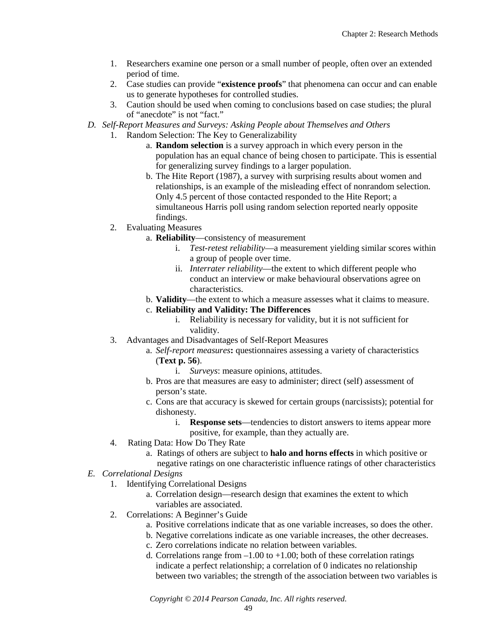- 1. Researchers examine one person or a small number of people, often over an extended period of time.
- 2. Case studies can provide "**existence proofs**" that phenomena can occur and can enable us to generate hypotheses for controlled studies.
- 3. Caution should be used when coming to conclusions based on case studies; the plural of "anecdote" is not "fact."
- *D. Self-Report Measures and Surveys: Asking People about Themselves and Others*
	- 1. Random Selection: The Key to Generalizability
		- a. **Random selection** is a survey approach in which every person in the population has an equal chance of being chosen to participate. This is essential for generalizing survey findings to a larger population.
		- b. The Hite Report (1987), a survey with surprising results about women and relationships, is an example of the misleading effect of nonrandom selection. Only 4.5 percent of those contacted responded to the Hite Report; a simultaneous Harris poll using random selection reported nearly opposite findings.
	- 2. Evaluating Measures
		- a. **Reliability**—consistency of measurement
			- i. *Test-retest reliability*—a measurement yielding similar scores within a group of people over time.
			- ii. *Interrater reliability*—the extent to which different people who conduct an interview or make behavioural observations agree on characteristics.
		- b. **Validity**—the extent to which a measure assesses what it claims to measure.
		- c. **Reliability and Validity: The Differences**
			- i. Reliability is necessary for validity, but it is not sufficient for validity.
	- 3. Advantages and Disadvantages of Self-Report Measures
		- a. *Self-report measures***:** questionnaires assessing a variety of characteristics (**Text p. 56**).
			- i. *Surveys*: measure opinions, attitudes.
		- b. Pros are that measures are easy to administer; direct (self) assessment of person's state.
		- c. Cons are that accuracy is skewed for certain groups (narcissists); potential for dishonesty.
			- i. **Response sets**—tendencies to distort answers to items appear more positive, for example, than they actually are.
	- 4. Rating Data: How Do They Rate
		- a. Ratings of others are subject to **halo and horns effects** in which positive or negative ratings on one characteristic influence ratings of other characteristics
- *E. Correlational Designs*
	- 1. Identifying Correlational Designs
		- a. Correlation design—research design that examines the extent to which variables are associated.
	- 2. Correlations: A Beginner's Guide
		- a. Positive correlations indicate that as one variable increases, so does the other.
		- b. Negative correlations indicate as one variable increases, the other decreases.
		- c. Zero correlations indicate no relation between variables.
		- d. Correlations range from  $-1.00$  to  $+1.00$ ; both of these correlation ratings indicate a perfect relationship; a correlation of 0 indicates no relationship between two variables; the strength of the association between two variables is

*Copyright © 2014 Pearson Canada, Inc. All rights reserved.*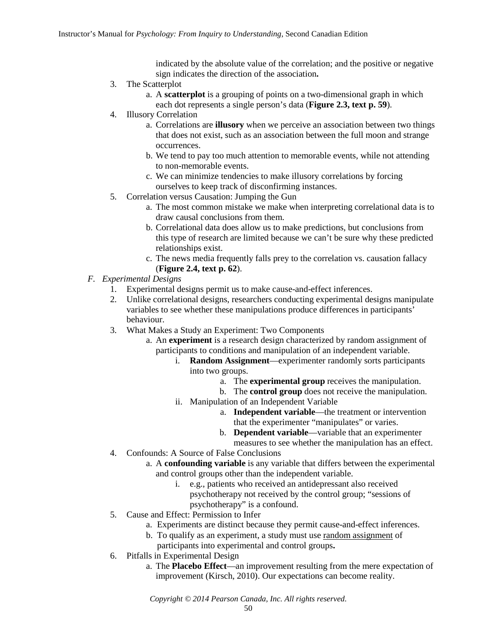indicated by the absolute value of the correlation; and the positive or negative sign indicates the direction of the association**.**

- 3. The Scatterplot
	- a. A **scatterplot** is a grouping of points on a two-dimensional graph in which each dot represents a single person's data (**Figure 2.3, text p. 59**).
- 4. Illusory Correlation
	- a. Correlations are **illusory** when we perceive an association between two things that does not exist, such as an association between the full moon and strange occurrences.
	- b. We tend to pay too much attention to memorable events, while not attending to non-memorable events.
	- c. We can minimize tendencies to make illusory correlations by forcing ourselves to keep track of disconfirming instances.
- 5. Correlation versus Causation: Jumping the Gun
	- a. The most common mistake we make when interpreting correlational data is to draw causal conclusions from them.
	- b. Correlational data does allow us to make predictions, but conclusions from this type of research are limited because we can't be sure why these predicted relationships exist.
	- c. The news media frequently falls prey to the correlation vs. causation fallacy (**Figure 2.4, text p. 62**).
- *F. Experimental Designs*
	- 1. Experimental designs permit us to make cause-and-effect inferences.
	- 2. Unlike correlational designs, researchers conducting experimental designs manipulate variables to see whether these manipulations produce differences in participants' behaviour.
	- 3. What Makes a Study an Experiment: Two Components
		- a. An **experiment** is a research design characterized by random assignment of participants to conditions and manipulation of an independent variable.
			- i. **Random Assignment**—experimenter randomly sorts participants into two groups.
				- a. The **experimental group** receives the manipulation.
				- b. The **control group** does not receive the manipulation.
			- ii. Manipulation of an Independent Variable
				- a. **Independent variable**—the treatment or intervention that the experimenter "manipulates" or varies.
				- b. **Dependent variable**—variable that an experimenter
	- measures to see whether the manipulation has an effect. 4. Confounds: A Source of False Conclusions
		- a. A **confounding variable** is any variable that differs between the experimental and control groups other than the independent variable.<br>i. e.g., patients who received an antidemessant a
			- e.g., patients who received an antidepressant also received psychotherapy not received by the control group; "sessions of psychotherapy" is a confound.
	- 5. Cause and Effect: Permission to Infer
		- a. Experiments are distinct because they permit cause-and-effect inferences.
		- b. To qualify as an experiment, a study must use random assignment of participants into experimental and control groups**.**
	- 6. Pitfalls in Experimental Design
		- a. The **Placebo Effect**—an improvement resulting from the mere expectation of improvement (Kirsch, 2010). Our expectations can become reality.

*Copyright © 2014 Pearson Canada, Inc. All rights reserved.*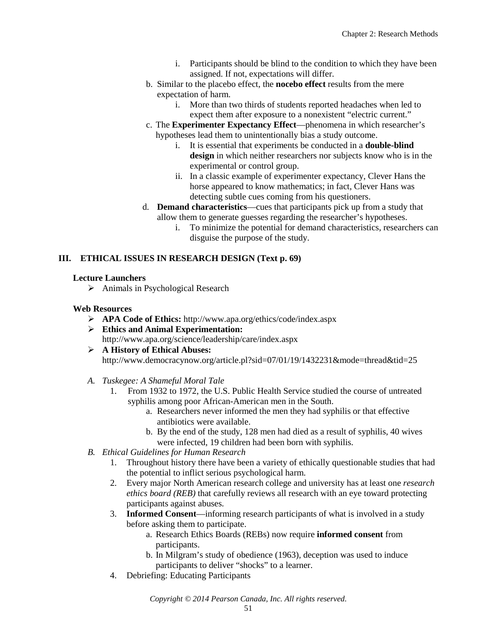- i. Participants should be blind to the condition to which they have been assigned. If not, expectations will differ.
- b. Similar to the placebo effect, the **nocebo effect** results from the mere expectation of harm.
	- i. More than two thirds of students reported headaches when led to expect them after exposure to a nonexistent "electric current."
- c. The **Experimenter Expectancy Effect**—phenomena in which researcher's hypotheses lead them to unintentionally bias a study outcome.
	- i. It is essential that experiments be conducted in a **double-blind design** in which neither researchers nor subjects know who is in the experimental or control group.
	- ii. In a classic example of experimenter expectancy, Clever Hans the horse appeared to know mathematics; in fact, Clever Hans was detecting subtle cues coming from his questioners.
- d. **Demand characteristics**—cues that participants pick up from a study that allow them to generate guesses regarding the researcher's hypotheses.
	- i. To minimize the potential for demand characteristics, researchers can disguise the purpose of the study.

# **III. [ETHICAL ISSUES IN RESEARCH DESIGN](#page-0-0) (Text p. 69)**

# **Lecture Launchers**

 $\triangleright$  Animals in Psychological Research

# **Web Resources**

- **APA Code of Ethics:** http://www.apa.org/ethics/code/index.aspx
- **Ethics and Animal Experimentation:**  http://www.apa.org/science/leadership/care/index.aspx
- **A History of Ethical Abuses:**  http://www.democracynow.org/article.pl?sid=07/01/19/1432231&mode=thread&tid=25
- *A. Tuskegee: A Shameful Moral Tale*
	- 1. From 1932 to 1972, the U.S. Public Health Service studied the course of untreated syphilis among poor African-American men in the South.
		- a. Researchers never informed the men they had syphilis or that effective antibiotics were available.
		- b. By the end of the study, 128 men had died as a result of syphilis, 40 wives were infected, 19 children had been born with syphilis.
- *B. Ethical Guidelines for Human Research*
	- 1. Throughout history there have been a variety of ethically questionable studies that had the potential to inflict serious psychological harm.
	- 2. Every major North American research college and university has at least one *research ethics board (REB)* that carefully reviews all research with an eye toward protecting participants against abuses.
	- 3. **Informed Consent**—informing research participants of what is involved in a study before asking them to participate.
		- a. Research Ethics Boards (REBs) now require **informed consent** from participants.
		- b. In Milgram's study of obedience (1963), deception was used to induce participants to deliver "shocks" to a learner.
	- 4. Debriefing: Educating Participants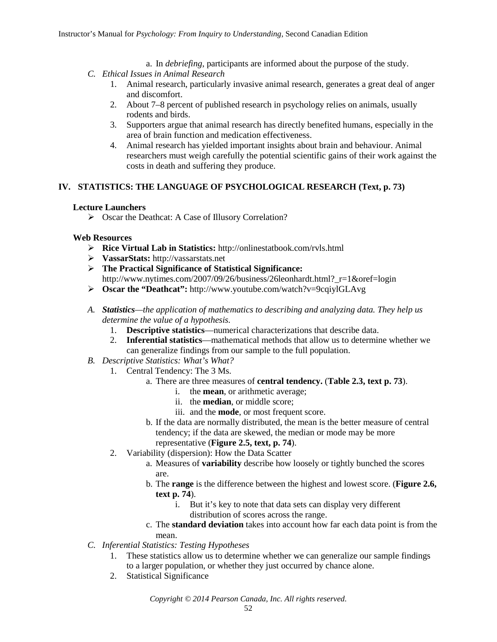- a. In *debriefing*, participants are informed about the purpose of the study.
- *C. Ethical Issues in Animal Research*
	- 1. Animal research, particularly invasive animal research, generates a great deal of anger and discomfort.
	- 2. About 7–8 percent of published research in psychology relies on animals, usually rodents and birds.
	- 3. Supporters argue that animal research has directly benefited humans, especially in the area of brain function and medication effectiveness.
	- 4. Animal research has yielded important insights about brain and behaviour. Animal researchers must weigh carefully the potential scientific gains of their work against the costs in death and suffering they produce.

# **IV. STATISTICS: THE LANGUAGE OF PSYCHOLOGICAL RESEARCH (Text, p. 73)**

#### **Lecture Launchers**

Oscar the Deathcat: A Case of Illusory Correlation?

#### **Web Resources**

- **Rice Virtual Lab in Statistics:** http://onlinestatbook.com/rvls.html
- **VassarStats:** http://vassarstats.net
- **The Practical Significance of Statistical Significance:**  http://www.nytimes.com/2007/09/26/business/26leonhardt.html?\_r=1&oref=login
- **Oscar the "Deathcat":** http://www.youtube.com/watch?v=9cqiylGLAvg
- *A. Statistics—the application of mathematics to describing and analyzing data. They help us determine the value of a hypothesis.* 
	- 1. **Descriptive statistics**—numerical characterizations that describe data.
	- 2. **Inferential statistics**—mathematical methods that allow us to determine whether we can generalize findings from our sample to the full population.
- *B. Descriptive Statistics: What's What?*
	- 1. Central Tendency: The 3 Ms.
		- a. There are three measures of **central tendency.** (**Table 2.3, text p. 73**).
			- i. the **mean**, or arithmetic average;
			- ii. the **median**, or middle score;
			- iii. and the **mode**, or most frequent score.
		- b. If the data are normally distributed, the mean is the better measure of central tendency; if the data are skewed, the median or mode may be more representative (**Figure 2.5, text, p. 74**).
	- 2. Variability (dispersion): How the Data Scatter
		- a. Measures of **variability** describe how loosely or tightly bunched the scores are.
		- b. The **range** is the difference between the highest and lowest score. (**Figure 2.6, text p. 74**).
			- i. But it's key to note that data sets can display very different distribution of scores across the range.
		- c. The **standard deviation** takes into account how far each data point is from the

#### mean.

- *C. Inferential Statistics: Testing Hypotheses*
	- 1. These statistics allow us to determine whether we can generalize our sample findings to a larger population, or whether they just occurred by chance alone.
	- 2. Statistical Significance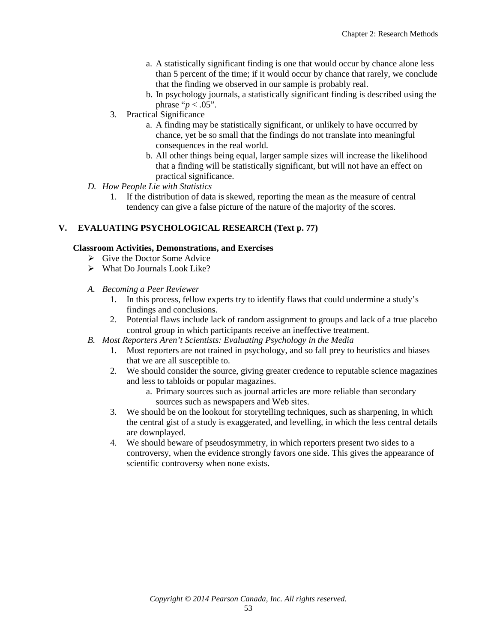- a. A statistically significant finding is one that would occur by chance alone less than 5 percent of the time; if it would occur by chance that rarely, we conclude that the finding we observed in our sample is probably real.
- b. In psychology journals, a statistically significant finding is described using the phrase " $p < .05$ ".
- 3. Practical Significance
	- a. A finding may be statistically significant, or unlikely to have occurred by chance, yet be so small that the findings do not translate into meaningful consequences in the real world.
	- b. All other things being equal, larger sample sizes will increase the likelihood that a finding will be statistically significant, but will not have an effect on practical significance.
- *D. How People Lie with Statistics*
	- 1. If the distribution of data is skewed, reporting the mean as the measure of central tendency can give a false picture of the nature of the majority of the scores.

# **V. EVALUATING PSYCHOLOGICAL RESEARCH (Text p. 77)**

# **Classroom Activities, Demonstrations, and Exercises**

- $\triangleright$  Give the Doctor Some Advice
- $\triangleright$  What Do Journals Look Like?
- *A. Becoming a Peer Reviewer*
	- 1. In this process, fellow experts try to identify flaws that could undermine a study's findings and conclusions.
	- 2. Potential flaws include lack of random assignment to groups and lack of a true placebo control group in which participants receive an ineffective treatment.
- *B. Most Reporters Aren't Scientists: Evaluating Psychology in the Media*
	- 1. Most reporters are not trained in psychology, and so fall prey to heuristics and biases that we are all susceptible to.
	- 2. We should consider the source, giving greater credence to reputable science magazines and less to tabloids or popular magazines.
		- a. Primary sources such as journal articles are more reliable than secondary sources such as newspapers and Web sites.
	- 3. We should be on the lookout for storytelling techniques, such as sharpening, in which the central gist of a study is exaggerated, and levelling, in which the less central details are downplayed.
	- 4. We should beware of pseudosymmetry, in which reporters present two sides to a controversy, when the evidence strongly favors one side. This gives the appearance of scientific controversy when none exists.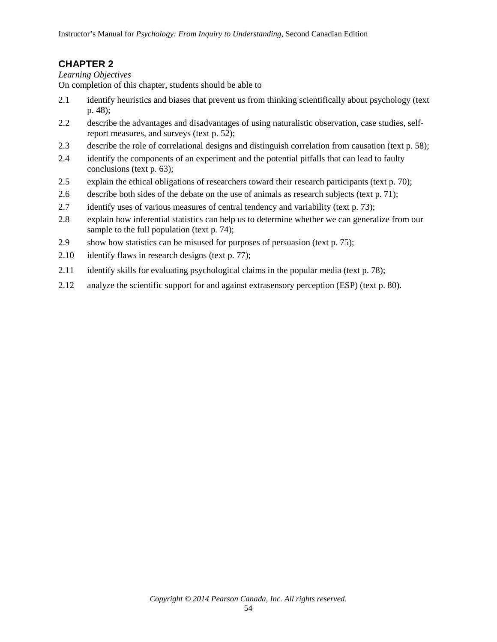# **CHAPTER 2**

## *Learning Objectives*

On completion of this chapter, students should be able to

- 2.1 identify heuristics and biases that prevent us from thinking scientifically about psychology (text p. 48);
- 2.2 describe the advantages and disadvantages of using naturalistic observation, case studies, selfreport measures, and surveys (text p. 52);
- 2.3 describe the role of correlational designs and distinguish correlation from causation (text p. 58);
- 2.4 identify the components of an experiment and the potential pitfalls that can lead to faulty conclusions (text p. 63);
- 2.5 explain the ethical obligations of researchers toward their research participants (text p. 70);
- 2.6 describe both sides of the debate on the use of animals as research subjects (text p. 71);
- 2.7 identify uses of various measures of central tendency and variability (text p. 73);
- 2.8 explain how inferential statistics can help us to determine whether we can generalize from our sample to the full population (text p. 74);
- 2.9 show how statistics can be misused for purposes of persuasion (text p. 75);
- 2.10 identify flaws in research designs (text p. 77);
- 2.11 identify skills for evaluating psychological claims in the popular media (text p. 78);
- 2.12 analyze the scientific support for and against extrasensory perception (ESP) (text p. 80).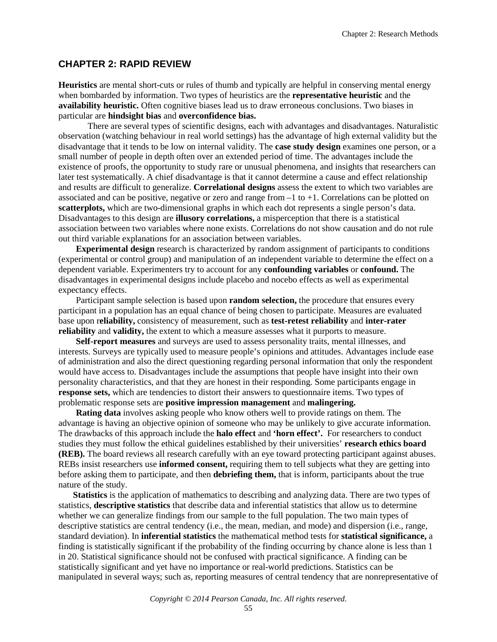# **CHAPTER 2: RAPID REVIEW**

**Heuristics** are mental short-cuts or rules of thumb and typically are helpful in conserving mental energy when bombarded by information. Two types of heuristics are the **representative heuristic** and the **availability heuristic.** Often cognitive biases lead us to draw erroneous conclusions. Two biases in particular are **hindsight bias** and **overconfidence bias.**

There are several types of scientific designs, each with advantages and disadvantages. Naturalistic observation (watching behaviour in real world settings) has the advantage of high external validity but the disadvantage that it tends to be low on internal validity. The **case study design** examines one person, or a small number of people in depth often over an extended period of time. The advantages include the existence of proofs, the opportunity to study rare or unusual phenomena, and insights that researchers can later test systematically. A chief disadvantage is that it cannot determine a cause and effect relationship and results are difficult to generalize. **Correlational designs** assess the extent to which two variables are associated and can be positive, negative or zero and range from  $-1$  to  $+1$ . Correlations can be plotted on **scatterplots,** which are two-dimensional graphs in which each dot represents a single person's data. Disadvantages to this design are **illusory correlations,** a misperception that there is a statistical association between two variables where none exists. Correlations do not show causation and do not rule out third variable explanations for an association between variables.

**Experimental design** research is characterized by random assignment of participants to conditions (experimental or control group) and manipulation of an independent variable to determine the effect on a dependent variable. Experimenters try to account for any **confounding variables** or **confound.** The disadvantages in experimental designs include placebo and nocebo effects as well as experimental expectancy effects.

Participant sample selection is based upon **random selection,** the procedure that ensures every participant in a population has an equal chance of being chosen to participate. Measures are evaluated base upon r**eliability,** consistency of measurement, such as **test-retest reliability** and **inter-rater reliability** and **validity,** the extent to which a measure assesses what it purports to measure.

**Self-report measures** and surveys are used to assess personality traits, mental illnesses, and interests. Surveys are typically used to measure people's opinions and attitudes. Advantages include ease of administration and also the direct questioning regarding personal information that only the respondent would have access to. Disadvantages include the assumptions that people have insight into their own personality characteristics, and that they are honest in their responding. Some participants engage in **response sets,** which are tendencies to distort their answers to questionnaire items. Two types of problematic response sets are **positive impression management** and **malingering.**

**Rating data** involves asking people who know others well to provide ratings on them. The advantage is having an objective opinion of someone who may be unlikely to give accurate information. The drawbacks of this approach include the **halo effect** and **'horn effect'.** For researchers to conduct studies they must follow the ethical guidelines established by their universities' **research ethics board (REB).** The board reviews all research carefully with an eye toward protecting participant against abuses. REBs insist researchers use **informed consent,** requiring them to tell subjects what they are getting into before asking them to participate, and then **debriefing them,** that is inform, participants about the true nature of the study.

**Statistics** is the application of mathematics to describing and analyzing data. There are two types of statistics, **descriptive statistics** that describe data and inferential statistics that allow us to determine whether we can generalize findings from our sample to the full population. The two main types of descriptive statistics are central tendency (i.e., the mean, median, and mode) and dispersion (i.e., range, standard deviation). In **inferential statistics** the mathematical method tests for **statistical significance,** a finding is statistically significant if the probability of the finding occurring by chance alone is less than 1 in 20. Statistical significance should not be confused with practical significance. A finding can be statistically significant and yet have no importance or real-world predictions. Statistics can be manipulated in several ways; such as, reporting measures of central tendency that are nonrepresentative of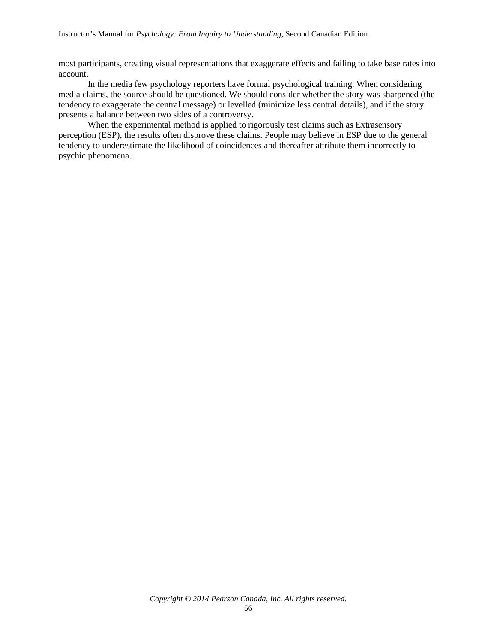most participants, creating visual representations that exaggerate effects and failing to take base rates into account.

In the media few psychology reporters have formal psychological training. When considering media claims, the source should be questioned. We should consider whether the story was sharpened (the tendency to exaggerate the central message) or levelled (minimize less central details), and if the story presents a balance between two sides of a controversy.

When the experimental method is applied to rigorously test claims such as Extrasensory perception (ESP), the results often disprove these claims. People may believe in ESP due to the general tendency to underestimate the likelihood of coincidences and thereafter attribute them incorrectly to psychic phenomena.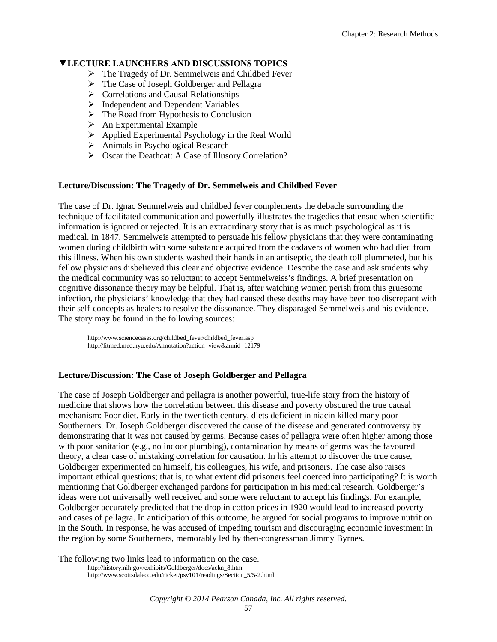#### **▼LECTURE LAUNCHERS AND DISCUSSIONS TOPICS**

- $\triangleright$  The Tragedy of Dr. Semmelweis and Childbed Fever
- > The Case of Joseph Goldberger and Pellagra
- $\triangleright$  Correlations and Causal Relationships
- $\triangleright$  Independent and Dependent Variables
- $\triangleright$  The Road from Hypothesis to Conclusion
- $\triangleright$  An Experimental Example
- Applied Experimental Psychology in the Real World
- Animals in Psychological Research
- Oscar the Deathcat: A Case of Illusory Correlation?

#### **Lecture/Discussion: The Tragedy of Dr. Semmelweis and Childbed Fever**

The case of Dr. Ignac Semmelweis and childbed fever complements the debacle surrounding the technique of facilitated communication and powerfully illustrates the tragedies that ensue when scientific information is ignored or rejected. It is an extraordinary story that is as much psychological as it is medical. In 1847, Semmelweis attempted to persuade his fellow physicians that they were contaminating women during childbirth with some substance acquired from the cadavers of women who had died from this illness. When his own students washed their hands in an antiseptic, the death toll plummeted, but his fellow physicians disbelieved this clear and objective evidence. Describe the case and ask students why the medical community was so reluctant to accept Semmelweiss's findings. A brief presentation on cognitive dissonance theory may be helpful. That is, after watching women perish from this gruesome infection, the physicians' knowledge that they had caused these deaths may have been too discrepant with their self-concepts as healers to resolve the dissonance. They disparaged Semmelweis and his evidence. The story may be found in the following sources:

http://www.sciencecases.org/childbed\_fever/childbed\_fever.asp http://litmed.med.nyu.edu/Annotation?action=view&annid=12179

#### **Lecture/Discussion: The Case of Joseph Goldberger and Pellagra**

The case of Joseph Goldberger and pellagra is another powerful, true-life story from the history of medicine that shows how the correlation between this disease and poverty obscured the true causal mechanism: Poor diet. Early in the twentieth century, diets deficient in niacin killed many poor Southerners. Dr. Joseph Goldberger discovered the cause of the disease and generated controversy by demonstrating that it was not caused by germs. Because cases of pellagra were often higher among those with poor sanitation (e.g., no indoor plumbing), contamination by means of germs was the favoured theory, a clear case of mistaking correlation for causation. In his attempt to discover the true cause, Goldberger experimented on himself, his colleagues, his wife, and prisoners. The case also raises important ethical questions; that is, to what extent did prisoners feel coerced into participating? It is worth mentioning that Goldberger exchanged pardons for participation in his medical research. Goldberger's ideas were not universally well received and some were reluctant to accept his findings. For example, Goldberger accurately predicted that the drop in cotton prices in 1920 would lead to increased poverty and cases of pellagra. In anticipation of this outcome, he argued for social programs to improve nutrition in the South. In response, he was accused of impeding tourism and discouraging economic investment in the region by some Southerners, memorably led by then-congressman Jimmy Byrnes.

The following two links lead to information on the case. http://history.nih.gov/exhibits/Goldberger/docs/ackn\_8.htm http://www.scottsdalecc.edu/ricker/psy101/readings/Section\_5/5-2.html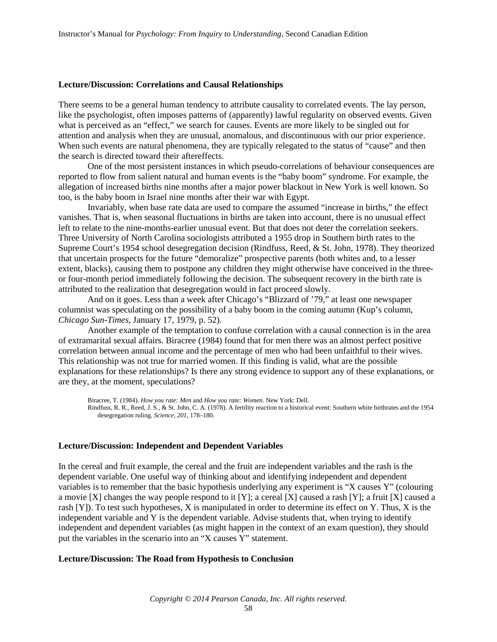#### **Lecture/Discussion: Correlations and Causal Relationships**

There seems to be a general human tendency to attribute causality to correlated events. The lay person, like the psychologist, often imposes patterns of (apparently) lawful regularity on observed events. Given what is perceived as an "effect," we search for causes. Events are more likely to be singled out for attention and analysis when they are unusual, anomalous, and discontinuous with our prior experience. When such events are natural phenomena, they are typically relegated to the status of "cause" and then the search is directed toward their aftereffects.

One of the most persistent instances in which pseudo-correlations of behaviour consequences are reported to flow from salient natural and human events is the "baby boom" syndrome. For example, the allegation of increased births nine months after a major power blackout in New York is well known. So too, is the baby boom in Israel nine months after their war with Egypt.

Invariably, when base rate data are used to compare the assumed "increase in births," the effect vanishes. That is, when seasonal fluctuations in births are taken into account, there is no unusual effect left to relate to the nine-months-earlier unusual event. But that does not deter the correlation seekers. Three University of North Carolina sociologists attributed a 1955 drop in Southern birth rates to the Supreme Court's 1954 school desegregation decision (Rindfuss, Reed, & St. John, 1978). They theorized that uncertain prospects for the future "demoralize" prospective parents (both whites and, to a lesser extent, blacks), causing them to postpone any children they might otherwise have conceived in the threeor four-month period immediately following the decision. The subsequent recovery in the birth rate is attributed to the realization that desegregation would in fact proceed slowly.

And on it goes. Less than a week after Chicago's "Blizzard of '79," at least one newspaper columnist was speculating on the possibility of a baby boom in the coming autumn (Kup's column, *Chicago Sun-Times*, January 17, 1979, p. 52).

Another example of the temptation to confuse correlation with a causal connection is in the area of extramarital sexual affairs. Biracree (1984) found that for men there was an almost perfect positive correlation between annual income and the percentage of men who had been unfaithful to their wives. This relationship was not true for married women. If this finding is valid, what are the possible explanations for these relationships? Is there any strong evidence to support any of these explanations, or are they, at the moment, speculations?

Biracree, T. (1984). *How you rate: Men* and *How you rate: Women*. New York: Dell. Rindfuss, R. R., Reed, J. S., & St. John, C. A. (1978). A fertility reaction to a historical event: Southern white birthrates and the 1954 desegregation ruling. *Science, 201*, 178–180.

#### **Lecture/Discussion: Independent and Dependent Variables**

In the cereal and fruit example, the cereal and the fruit are independent variables and the rash is the dependent variable. One useful way of thinking about and identifying independent and dependent variables is to remember that the basic hypothesis underlying any experiment is "X causes Y" (colouring a movie [X] changes the way people respond to it [Y]; a cereal [X] caused a rash [Y]; a fruit [X] caused a rash [Y]). To test such hypotheses, X is manipulated in order to determine its effect on Y. Thus, X is the independent variable and Y is the dependent variable. Advise students that, when trying to identify independent and dependent variables (as might happen in the context of an exam question), they should put the variables in the scenario into an "X causes Y" statement.

#### **Lecture/Discussion: The Road from Hypothesis to Conclusion**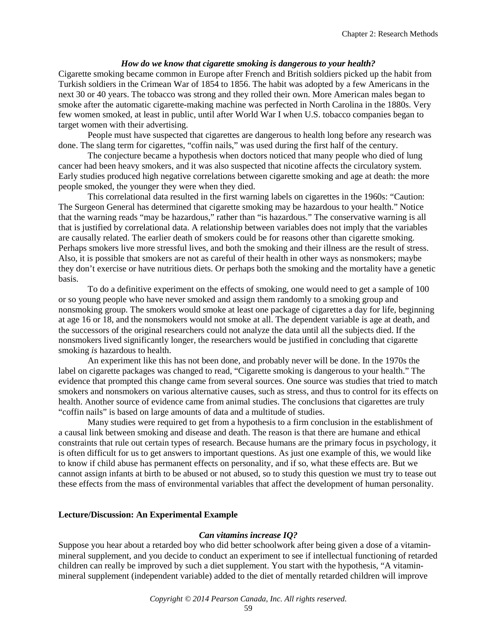#### *How do we know that cigarette smoking is dangerous to your health?*

Cigarette smoking became common in Europe after French and British soldiers picked up the habit from Turkish soldiers in the Crimean War of 1854 to 1856. The habit was adopted by a few Americans in the next 30 or 40 years. The tobacco was strong and they rolled their own. More American males began to smoke after the automatic cigarette-making machine was perfected in North Carolina in the 1880s. Very few women smoked, at least in public, until after World War I when U.S. tobacco companies began to target women with their advertising.

People must have suspected that cigarettes are dangerous to health long before any research was done. The slang term for cigarettes, "coffin nails," was used during the first half of the century.

The conjecture became a hypothesis when doctors noticed that many people who died of lung cancer had been heavy smokers, and it was also suspected that nicotine affects the circulatory system. Early studies produced high negative correlations between cigarette smoking and age at death: the more people smoked, the younger they were when they died.

This correlational data resulted in the first warning labels on cigarettes in the 1960s: "Caution: The Surgeon General has determined that cigarette smoking may be hazardous to your health." Notice that the warning reads "may be hazardous," rather than "is hazardous." The conservative warning is all that is justified by correlational data. A relationship between variables does not imply that the variables are causally related. The earlier death of smokers could be for reasons other than cigarette smoking. Perhaps smokers live more stressful lives, and both the smoking and their illness are the result of stress. Also, it is possible that smokers are not as careful of their health in other ways as nonsmokers; maybe they don't exercise or have nutritious diets. Or perhaps both the smoking and the mortality have a genetic basis.

To do a definitive experiment on the effects of smoking, one would need to get a sample of 100 or so young people who have never smoked and assign them randomly to a smoking group and nonsmoking group. The smokers would smoke at least one package of cigarettes a day for life, beginning at age 16 or 18, and the nonsmokers would not smoke at all. The dependent variable is age at death, and the successors of the original researchers could not analyze the data until all the subjects died. If the nonsmokers lived significantly longer, the researchers would be justified in concluding that cigarette smoking *is* hazardous to health.

An experiment like this has not been done, and probably never will be done. In the 1970s the label on cigarette packages was changed to read, "Cigarette smoking is dangerous to your health." The evidence that prompted this change came from several sources. One source was studies that tried to match smokers and nonsmokers on various alternative causes, such as stress, and thus to control for its effects on health. Another source of evidence came from animal studies. The conclusions that cigarettes are truly "coffin nails" is based on large amounts of data and a multitude of studies.

Many studies were required to get from a hypothesis to a firm conclusion in the establishment of a causal link between smoking and disease and death. The reason is that there are humane and ethical constraints that rule out certain types of research. Because humans are the primary focus in psychology, it is often difficult for us to get answers to important questions. As just one example of this, we would like to know if child abuse has permanent effects on personality, and if so, what these effects are. But we cannot assign infants at birth to be abused or not abused, so to study this question we must try to tease out these effects from the mass of environmental variables that affect the development of human personality.

#### **Lecture/Discussion: An Experimental Example**

#### *Can vitamins increase IQ?*

Suppose you hear about a retarded boy who did better schoolwork after being given a dose of a vitaminmineral supplement, and you decide to conduct an experiment to see if intellectual functioning of retarded children can really be improved by such a diet supplement. You start with the hypothesis, "A vitaminmineral supplement (independent variable) added to the diet of mentally retarded children will improve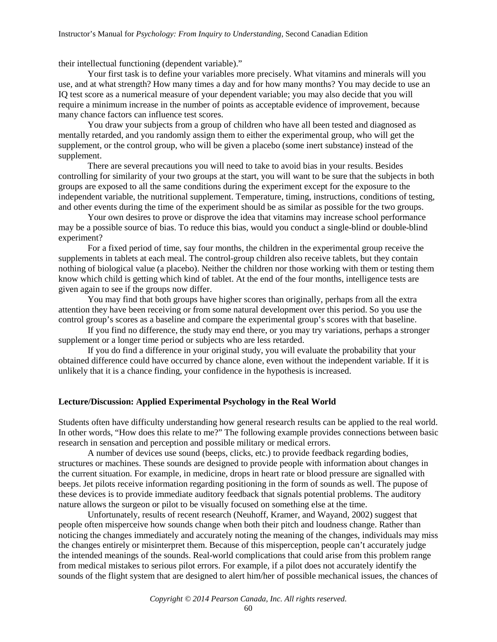their intellectual functioning (dependent variable)."

Your first task is to define your variables more precisely. What vitamins and minerals will you use, and at what strength? How many times a day and for how many months? You may decide to use an IQ test score as a numerical measure of your dependent variable; you may also decide that you will require a minimum increase in the number of points as acceptable evidence of improvement, because many chance factors can influence test scores.

You draw your subjects from a group of children who have all been tested and diagnosed as mentally retarded, and you randomly assign them to either the experimental group, who will get the supplement, or the control group, who will be given a placebo (some inert substance) instead of the supplement.

There are several precautions you will need to take to avoid bias in your results. Besides controlling for similarity of your two groups at the start, you will want to be sure that the subjects in both groups are exposed to all the same conditions during the experiment except for the exposure to the independent variable, the nutritional supplement. Temperature, timing, instructions, conditions of testing, and other events during the time of the experiment should be as similar as possible for the two groups.

Your own desires to prove or disprove the idea that vitamins may increase school performance may be a possible source of bias. To reduce this bias, would you conduct a single-blind or double-blind experiment?

For a fixed period of time, say four months, the children in the experimental group receive the supplements in tablets at each meal. The control-group children also receive tablets, but they contain nothing of biological value (a placebo). Neither the children nor those working with them or testing them know which child is getting which kind of tablet. At the end of the four months, intelligence tests are given again to see if the groups now differ.

You may find that both groups have higher scores than originally, perhaps from all the extra attention they have been receiving or from some natural development over this period. So you use the control group's scores as a baseline and compare the experimental group's scores with that baseline.

If you find no difference, the study may end there, or you may try variations, perhaps a stronger supplement or a longer time period or subjects who are less retarded.

If you do find a difference in your original study, you will evaluate the probability that your obtained difference could have occurred by chance alone, even without the independent variable. If it is unlikely that it is a chance finding, your confidence in the hypothesis is increased.

#### **Lecture/Discussion: Applied Experimental Psychology in the Real World**

Students often have difficulty understanding how general research results can be applied to the real world. In other words, "How does this relate to me?" The following example provides connections between basic research in sensation and perception and possible military or medical errors.

A number of devices use sound (beeps, clicks, etc.) to provide feedback regarding bodies, structures or machines. These sounds are designed to provide people with information about changes in the current situation. For example, in medicine, drops in heart rate or blood pressure are signalled with beeps. Jet pilots receive information regarding positioning in the form of sounds as well. The pupose of these devices is to provide immediate auditory feedback that signals potential problems. The auditory nature allows the surgeon or pilot to be visually focused on something else at the time.

Unfortunately, results of recent research (Neuhoff, Kramer, and Wayand, 2002) suggest that people often misperceive how sounds change when both their pitch and loudness change. Rather than noticing the changes immediately and accurately noting the meaning of the changes, individuals may miss the changes entirely or misinterpret them. Because of this misperception, people can't accurately judge the intended meanings of the sounds. Real-world complications that could arise from this problem range from medical mistakes to serious pilot errors. For example, if a pilot does not accurately identify the sounds of the flight system that are designed to alert him/her of possible mechanical issues, the chances of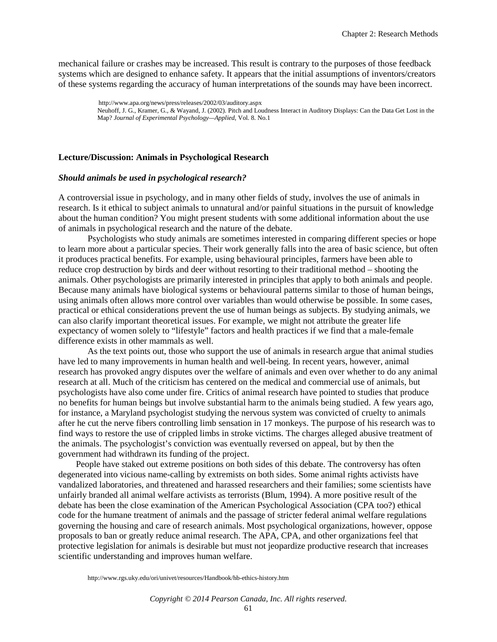mechanical failure or crashes may be increased. This result is contrary to the purposes of those feedback systems which are designed to enhance safety. It appears that the initial assumptions of inventors/creators of these systems regarding the accuracy of human interpretations of the sounds may have been incorrect.

> http://www.apa.org/news/press/releases/2002/03/auditory.aspx Neuhoff, J. G., Kramer, G., & Wayand, J. (2002). Pitch and Loudness Interact in Auditory Displays: Can the Data Get Lost in the Map? *Journal of Experimental Psychology—Applied*, Vol. 8. No.1

#### **Lecture/Discussion: Animals in Psychological Research**

#### *Should animals be used in psychological research?*

A controversial issue in psychology, and in many other fields of study, involves the use of animals in research. Is it ethical to subject animals to unnatural and/or painful situations in the pursuit of knowledge about the human condition? You might present students with some additional information about the use of animals in psychological research and the nature of the debate.

Psychologists who study animals are sometimes interested in comparing different species or hope to learn more about a particular species. Their work generally falls into the area of basic science, but often it produces practical benefits. For example, using behavioural principles, farmers have been able to reduce crop destruction by birds and deer without resorting to their traditional method – shooting the animals. Other psychologists are primarily interested in principles that apply to both animals and people. Because many animals have biological systems or behavioural patterns similar to those of human beings, using animals often allows more control over variables than would otherwise be possible. In some cases, practical or ethical considerations prevent the use of human beings as subjects. By studying animals, we can also clarify important theoretical issues. For example, we might not attribute the greater life expectancy of women solely to "lifestyle" factors and health practices if we find that a male-female difference exists in other mammals as well.

As the text points out, those who support the use of animals in research argue that animal studies have led to many improvements in human health and well-being. In recent years, however, animal research has provoked angry disputes over the welfare of animals and even over whether to do any animal research at all. Much of the criticism has centered on the medical and commercial use of animals, but psychologists have also come under fire. Critics of animal research have pointed to studies that produce no benefits for human beings but involve substantial harm to the animals being studied. A few years ago, for instance, a Maryland psychologist studying the nervous system was convicted of cruelty to animals after he cut the nerve fibers controlling limb sensation in 17 monkeys. The purpose of his research was to find ways to restore the use of crippled limbs in stroke victims. The charges alleged abusive treatment of the animals. The psychologist's conviction was eventually reversed on appeal, but by then the government had withdrawn its funding of the project.

People have staked out extreme positions on both sides of this debate. The controversy has often degenerated into vicious name-calling by extremists on both sides. Some animal rights activists have vandalized laboratories, and threatened and harassed researchers and their families; some scientists have unfairly branded all animal welfare activists as terrorists (Blum, 1994). A more positive result of the debate has been the close examination of the American Psychological Association (CPA too?) ethical code for the humane treatment of animals and the passage of stricter federal animal welfare regulations governing the housing and care of research animals. Most psychological organizations, however, oppose proposals to ban or greatly reduce animal research. The APA, CPA, and other organizations feel that protective legislation for animals is desirable but must not jeopardize productive research that increases scientific understanding and improves human welfare.

http://www.rgs.uky.edu/ori/univet/resources/Handbook/hb-ethics-history.htm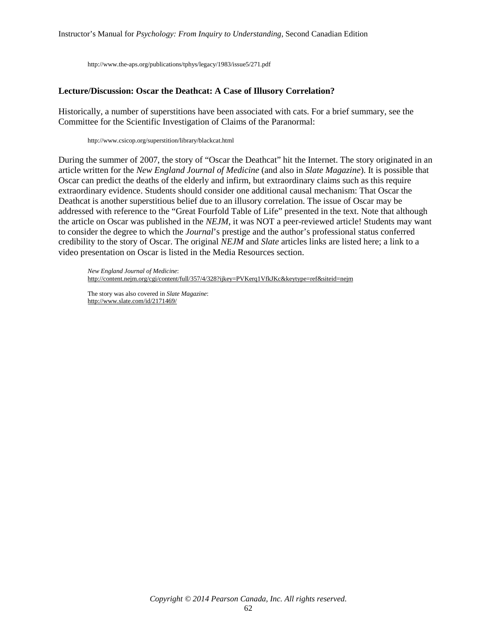http://www.the-aps.org/publications/tphys/legacy/1983/issue5/271.pdf

#### **Lecture/Discussion: Oscar the Deathcat: A Case of Illusory Correlation?**

Historically, a number of superstitions have been associated with cats. For a brief summary, see the Committee for the Scientific Investigation of Claims of the Paranormal:

http://www.csicop.org/superstition/library/blackcat.html

During the summer of 2007, the story of "Oscar the Deathcat" hit the Internet. The story originated in an article written for the *New England Journal of Medicine* (and also in *Slate Magazine*). It is possible that Oscar can predict the deaths of the elderly and infirm, but extraordinary claims such as this require extraordinary evidence. Students should consider one additional causal mechanism: That Oscar the Deathcat is another superstitious belief due to an illusory correlation. The issue of Oscar may be addressed with reference to the "Great Fourfold Table of Life" presented in the text. Note that although the article on Oscar was published in the *NEJM*, it was NOT a peer-reviewed article! Students may want to consider the degree to which the *Journal*'s prestige and the author's professional status conferred credibility to the story of Oscar. The original *NEJM* and *Slate* articles links are listed here; a link to a video presentation on Oscar is listed in the Media Resources section.

*New England Journal of Medicine*: <http://content.nejm.org/cgi/content/full/357/4/328?ijkey=PVKerq1VfkJKc&keytype=ref&siteid=nejm>

The story was also covered in *Slate Magazine*: <http://www.slate.com/id/2171469/>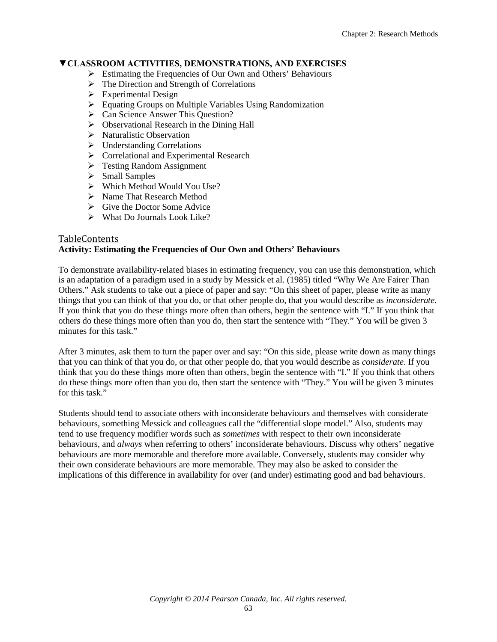# **▼CLASSROOM ACTIVITIES, DEMONSTRATIONS, AND EXERCISES**

- $\triangleright$  Estimating the Frequencies of Our Own and Others' Behaviours
- $\triangleright$  The Direction and Strength of Correlations
- $\triangleright$  Experimental Design
- Equating Groups on Multiple Variables Using Randomization
- ▶ Can Science Answer This Question?
- $\triangleright$  Observational Research in the Dining Hall
- $\triangleright$  Naturalistic Observation
- $\triangleright$  Understanding Correlations
- Correlational and Experimental Research
- **Festing Random Assignment**
- $\triangleright$  Small Samples
- Which Method Would You Use?
- > Name That Research Method
- $\triangleright$  Give the Doctor Some Advice
- $\triangleright$  What Do Journals Look Like?

#### [TableContents](#page-0-0) **Activity: Estimating the Frequencies of Our Own and Others' Behaviours**

To demonstrate availability-related biases in estimating frequency, you can use this demonstration, which is an adaptation of a paradigm used in a study by Messick et al. (1985) titled "Why We Are Fairer Than Others." Ask students to take out a piece of paper and say: "On this sheet of paper, please write as many things that you can think of that you do, or that other people do, that you would describe as *inconsiderate.* If you think that you do these things more often than others, begin the sentence with "I." If you think that others do these things more often than you do, then start the sentence with "They." You will be given 3 minutes for this task."

After 3 minutes, ask them to turn the paper over and say: "On this side, please write down as many things that you can think of that you do, or that other people do, that you would describe as *considerate*. If you think that you do these things more often than others, begin the sentence with "I." If you think that others do these things more often than you do, then start the sentence with "They." You will be given 3 minutes for this task."

Students should tend to associate others with inconsiderate behaviours and themselves with considerate behaviours, something Messick and colleagues call the "differential slope model." Also, students may tend to use frequency modifier words such as *sometimes* with respect to their own inconsiderate behaviours, and *always* when referring to others' inconsiderate behaviours. Discuss why others' negative behaviours are more memorable and therefore more available. Conversely, students may consider why their own considerate behaviours are more memorable. They may also be asked to consider the implications of this difference in availability for over (and under) estimating good and bad behaviours.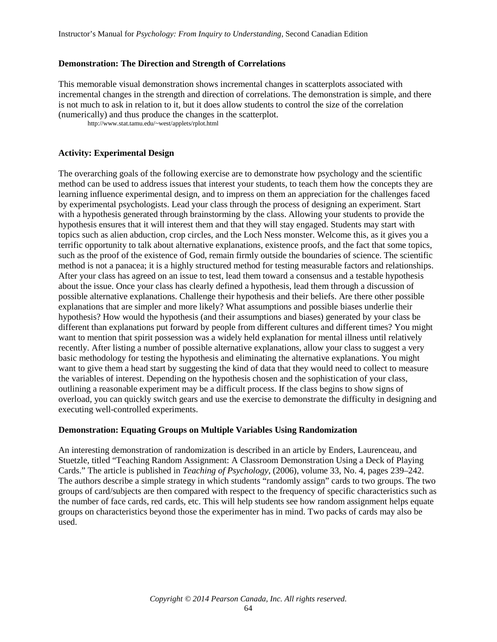#### **Demonstration: The Direction and Strength of Correlations**

This memorable visual demonstration shows incremental changes in scatterplots associated with incremental changes in the strength and direction of correlations. The demonstration is simple, and there is not much to ask in relation to it, but it does allow students to control the size of the correlation (numerically) and thus produce the changes in the scatterplot.

http://www.stat.tamu.edu/~west/applets/rplot.html

#### **Activity: Experimental Design**

The overarching goals of the following exercise are to demonstrate how psychology and the scientific method can be used to address issues that interest your students, to teach them how the concepts they are learning influence experimental design, and to impress on them an appreciation for the challenges faced by experimental psychologists. Lead your class through the process of designing an experiment. Start with a hypothesis generated through brainstorming by the class. Allowing your students to provide the hypothesis ensures that it will interest them and that they will stay engaged. Students may start with topics such as alien abduction, crop circles, and the Loch Ness monster. Welcome this, as it gives you a terrific opportunity to talk about alternative explanations, existence proofs, and the fact that some topics, such as the proof of the existence of God, remain firmly outside the boundaries of science. The scientific method is not a panacea; it is a highly structured method for testing measurable factors and relationships. After your class has agreed on an issue to test, lead them toward a consensus and a testable hypothesis about the issue. Once your class has clearly defined a hypothesis, lead them through a discussion of possible alternative explanations. Challenge their hypothesis and their beliefs. Are there other possible explanations that are simpler and more likely? What assumptions and possible biases underlie their hypothesis? How would the hypothesis (and their assumptions and biases) generated by your class be different than explanations put forward by people from different cultures and different times? You might want to mention that spirit possession was a widely held explanation for mental illness until relatively recently. After listing a number of possible alternative explanations, allow your class to suggest a very basic methodology for testing the hypothesis and eliminating the alternative explanations. You might want to give them a head start by suggesting the kind of data that they would need to collect to measure the variables of interest. Depending on the hypothesis chosen and the sophistication of your class, outlining a reasonable experiment may be a difficult process. If the class begins to show signs of overload, you can quickly switch gears and use the exercise to demonstrate the difficulty in designing and executing well-controlled experiments.

#### **Demonstration: Equating Groups on Multiple Variables Using Randomization**

An interesting demonstration of randomization is described in an article by Enders, Laurenceau, and Stuetzle, titled "Teaching Random Assignment: A Classroom Demonstration Using a Deck of Playing Cards." The article is published in *Teaching of Psychology*, (2006), volume 33, No. 4, pages 239–242. The authors describe a simple strategy in which students "randomly assign" cards to two groups. The two groups of card/subjects are then compared with respect to the frequency of specific characteristics such as the number of face cards, red cards, etc. This will help students see how random assignment helps equate groups on characteristics beyond those the experimenter has in mind. Two packs of cards may also be used.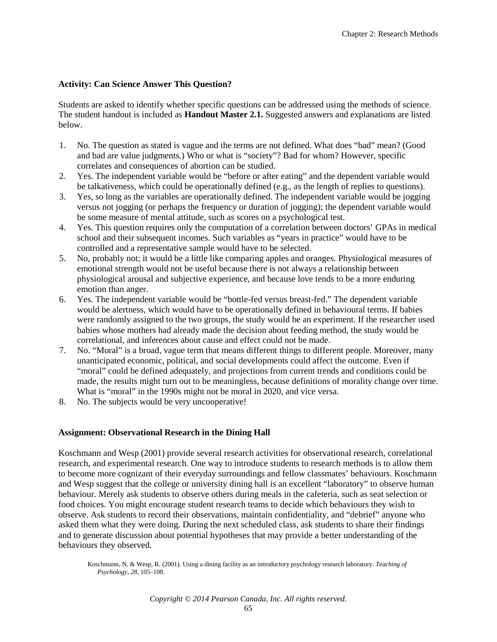#### **Activity: Can Science Answer This Question?**

Students are asked to identify whether specific questions can be addressed using the methods of science. The student handout is included as **Handout Master 2.1.** Suggested answers and explanations are listed below.

- 1. No. The question as stated is vague and the terms are not defined. What does "bad" mean? (Good and bad are value judgments.) Who or what is "society"? Bad for whom? However, specific correlates and consequences of abortion can be studied.
- 2. Yes. The independent variable would be "before or after eating" and the dependent variable would be talkativeness, which could be operationally defined (e.g., as the length of replies to questions).
- 3. Yes, so long as the variables are operationally defined. The independent variable would be jogging versus not jogging (or perhaps the frequency or duration of jogging); the dependent variable would be some measure of mental attitude, such as scores on a psychological test.
- 4. Yes. This question requires only the computation of a correlation between doctors' GPAs in medical school and their subsequent incomes. Such variables as "years in practice" would have to be controlled and a representative sample would have to be selected.
- 5. No, probably not; it would be a little like comparing apples and oranges. Physiological measures of emotional strength would not be useful because there is not always a relationship between physiological arousal and subjective experience, and because love tends to be a more enduring emotion than anger.
- 6. Yes. The independent variable would be "bottle-fed versus breast-fed." The dependent variable would be alertness, which would have to be operationally defined in behavioural terms. If babies were randomly assigned to the two groups, the study would be an experiment. If the researcher used babies whose mothers had already made the decision about feeding method, the study would be correlational, and inferences about cause and effect could not be made.
- 7. No. "Moral" is a broad, vague term that means different things to different people. Moreover, many unanticipated economic, political, and social developments could affect the outcome. Even if "moral" could be defined adequately, and projections from current trends and conditions could be made, the results might turn out to be meaningless, because definitions of morality change over time. What is "moral" in the 1990s might not be moral in 2020, and vice versa.
- 8. No. The subjects would be very uncooperative!

#### **Assignment: Observational Research in the Dining Hall**

Koschmann and Wesp (2001) provide several research activities for observational research, correlational research, and experimental research. One way to introduce students to research methods is to allow them to become more cognizant of their everyday surroundings and fellow classmates' behaviours. Koschmann and Wesp suggest that the college or university dining hall is an excellent "laboratory" to observe human behaviour. Merely ask students to observe others during meals in the cafeteria, such as seat selection or food choices. You might encourage student research teams to decide which behaviours they wish to observe. Ask students to record their observations, maintain confidentiality, and "debrief" anyone who asked them what they were doing. During the next scheduled class, ask students to share their findings and to generate discussion about potential hypotheses that may provide a better understanding of the behaviours they observed.

Koschmann, N. & Wesp, R. (2001). Using a dining facility as an introductory psychology research laboratory. *Teaching of Psychology, 28*, 105–108.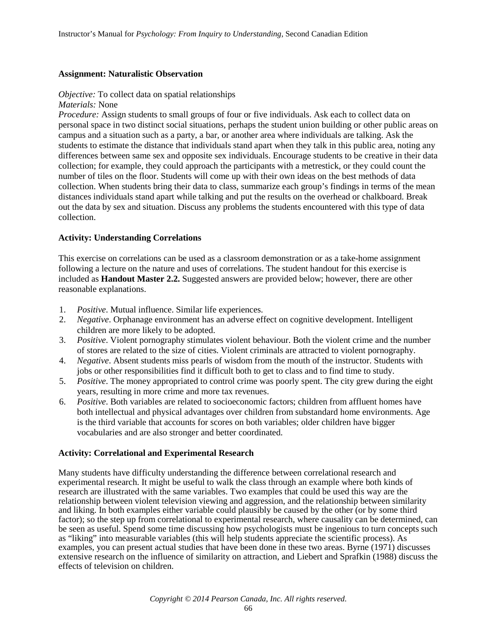#### **Assignment: Naturalistic Observation**

#### *Objective:* To collect data on spatial relationships

*Materials:* None

*Procedure:* Assign students to small groups of four or five individuals. Ask each to collect data on personal space in two distinct social situations, perhaps the student union building or other public areas on campus and a situation such as a party, a bar, or another area where individuals are talking. Ask the students to estimate the distance that individuals stand apart when they talk in this public area, noting any differences between same sex and opposite sex individuals. Encourage students to be creative in their data collection; for example, they could approach the participants with a metrestick, or they could count the number of tiles on the floor. Students will come up with their own ideas on the best methods of data collection. When students bring their data to class, summarize each group's findings in terms of the mean distances individuals stand apart while talking and put the results on the overhead or chalkboard. Break out the data by sex and situation. Discuss any problems the students encountered with this type of data collection.

#### **Activity: Understanding Correlations**

This exercise on correlations can be used as a classroom demonstration or as a take-home assignment following a lecture on the nature and uses of correlations. The student handout for this exercise is included as **Handout Master 2.2.** Suggested answers are provided below; however, there are other reasonable explanations.

- 1. *Positive*. Mutual influence. Similar life experiences.
- 2. *Negative*. Orphanage environment has an adverse effect on cognitive development. Intelligent children are more likely to be adopted.
- 3. *Positive*. Violent pornography stimulates violent behaviour. Both the violent crime and the number of stores are related to the size of cities. Violent criminals are attracted to violent pornography.
- 4. *Negative*. Absent students miss pearls of wisdom from the mouth of the instructor. Students with jobs or other responsibilities find it difficult both to get to class and to find time to study.
- 5. *Positive*. The money appropriated to control crime was poorly spent. The city grew during the eight years, resulting in more crime and more tax revenues.
- 6. *Positive*. Both variables are related to socioeconomic factors; children from affluent homes have both intellectual and physical advantages over children from substandard home environments. Age is the third variable that accounts for scores on both variables; older children have bigger vocabularies and are also stronger and better coordinated.

#### **Activity: Correlational and Experimental Research**

Many students have difficulty understanding the difference between correlational research and experimental research. It might be useful to walk the class through an example where both kinds of research are illustrated with the same variables. Two examples that could be used this way are the relationship between violent television viewing and aggression, and the relationship between similarity and liking. In both examples either variable could plausibly be caused by the other (or by some third factor); so the step up from correlational to experimental research, where causality can be determined, can be seen as useful. Spend some time discussing how psychologists must be ingenious to turn concepts such as "liking" into measurable variables (this will help students appreciate the scientific process). As examples, you can present actual studies that have been done in these two areas. Byrne (1971) discusses extensive research on the influence of similarity on attraction, and Liebert and Sprafkin (1988) discuss the effects of television on children.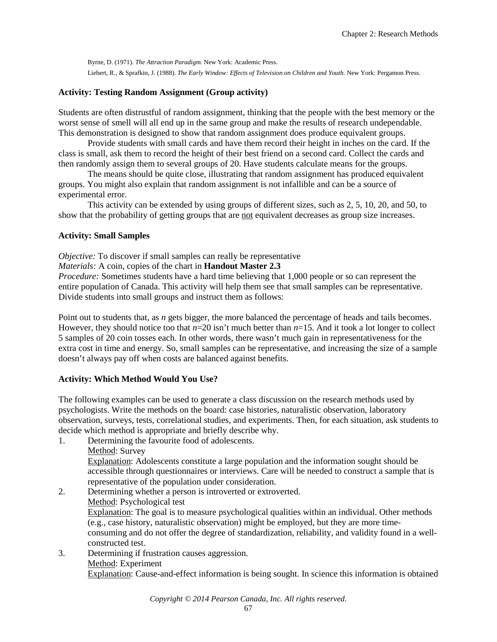Byrne, D. (1971). *The Attraction Paradigm.* New York: Academic Press. Liebert, R., & Sprafkin, J. (1988). *The Early Window: Effects of Television on Children and Youth.* New York: Pergamon Press.

# **Activity: Testing Random Assignment (Group activity)**

Students are often distrustful of random assignment, thinking that the people with the best memory or the worst sense of smell will all end up in the same group and make the results of research undependable. This demonstration is designed to show that random assignment does produce equivalent groups.

Provide students with small cards and have them record their height in inches on the card. If the class is small, ask them to record the height of their best friend on a second card. Collect the cards and then randomly assign them to several groups of 20. Have students calculate means for the groups.

The means should be quite close, illustrating that random assignment has produced equivalent groups. You might also explain that random assignment is not infallible and can be a source of experimental error.

This activity can be extended by using groups of different sizes, such as 2, 5, 10, 20, and 50, to show that the probability of getting groups that are not equivalent decreases as group size increases.

#### **Activity: Small Samples**

*Objective:* To discover if small samples can really be representative

#### *Materials:* A coin, copies of the chart in **Handout Master 2.3**

*Procedure:* Sometimes students have a hard time believing that 1,000 people or so can represent the entire population of Canada. This activity will help them see that small samples can be representative. Divide students into small groups and instruct them as follows:

Point out to students that, as *n* gets bigger, the more balanced the percentage of heads and tails becomes. However, they should notice too that  $n=20$  isn't much better than  $n=15$ . And it took a lot longer to collect 5 samples of 20 coin tosses each. In other words, there wasn't much gain in representativeness for the extra cost in time and energy. So, small samples can be representative, and increasing the size of a sample doesn't always pay off when costs are balanced against benefits.

#### **Activity: Which Method Would You Use?**

The following examples can be used to generate a class discussion on the research methods used by psychologists. Write the methods on the board: case histories, naturalistic observation, laboratory observation, surveys, tests, correlational studies, and experiments. Then, for each situation, ask students to decide which method is appropriate and briefly describe why.

1. Determining the favourite food of adolescents.

Method: Survey

Explanation: Adolescents constitute a large population and the information sought should be accessible through questionnaires or interviews. Care will be needed to construct a sample that is representative of the population under consideration.

2. Determining whether a person is introverted or extroverted. Method: Psychological test Explanation: The goal is to measure psychological qualities within an individual. Other methods (e.g., case history, naturalistic observation) might be employed, but they are more timeconsuming and do not offer the degree of standardization, reliability, and validity found in a wellconstructed test.

3. Determining if frustration causes aggression. Method: Experiment Explanation: Cause-and-effect information is being sought. In science this information is obtained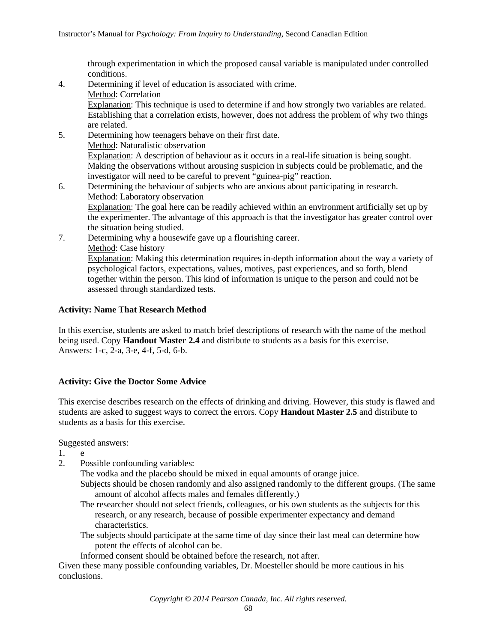through experimentation in which the proposed causal variable is manipulated under controlled conditions.

- 4. Determining if level of education is associated with crime. Method: Correlation Explanation: This technique is used to determine if and how strongly two variables are related. Establishing that a correlation exists, however, does not address the problem of why two things are related.
- 5. Determining how teenagers behave on their first date. Method: Naturalistic observation Explanation: A description of behaviour as it occurs in a real-life situation is being sought. Making the observations without arousing suspicion in subjects could be problematic, and the investigator will need to be careful to prevent "guinea-pig" reaction.
- 6. Determining the behaviour of subjects who are anxious about participating in research. Method: Laboratory observation Explanation: The goal here can be readily achieved within an environment artificially set up by the experimenter. The advantage of this approach is that the investigator has greater control over the situation being studied.
- 7. Determining why a housewife gave up a flourishing career. Method: Case history Explanation: Making this determination requires in-depth information about the way a variety of psychological factors, expectations, values, motives, past experiences, and so forth, blend together within the person. This kind of information is unique to the person and could not be assessed through standardized tests.

# **Activity: Name That Research Method**

In this exercise, students are asked to match brief descriptions of research with the name of the method being used. Copy **Handout Master 2.4** and distribute to students as a basis for this exercise. Answers: 1-c, 2-a, 3-e, 4-f, 5-d, 6-b.

# **Activity: Give the Doctor Some Advice**

This exercise describes research on the effects of drinking and driving. However, this study is flawed and students are asked to suggest ways to correct the errors. Copy **Handout Master 2.5** and distribute to students as a basis for this exercise.

Suggested answers:

1. e

2. Possible confounding variables:

The vodka and the placebo should be mixed in equal amounts of orange juice.

- Subjects should be chosen randomly and also assigned randomly to the different groups. (The same amount of alcohol affects males and females differently.)
- The researcher should not select friends, colleagues, or his own students as the subjects for this research, or any research, because of possible experimenter expectancy and demand characteristics.
- The subjects should participate at the same time of day since their last meal can determine how potent the effects of alcohol can be.

Informed consent should be obtained before the research, not after.

Given these many possible confounding variables, Dr. Moesteller should be more cautious in his conclusions.

*Copyright © 2014 Pearson Canada, Inc. All rights reserved.*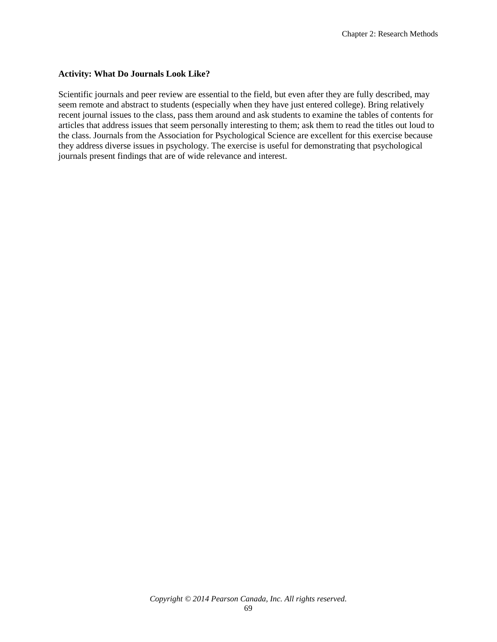#### **Activity: What Do Journals Look Like?**

Scientific journals and peer review are essential to the field, but even after they are fully described, may seem remote and abstract to students (especially when they have just entered college). Bring relatively recent journal issues to the class, pass them around and ask students to examine the tables of contents for articles that address issues that seem personally interesting to them; ask them to read the titles out loud to the class. Journals from the Association for Psychological Science are excellent for this exercise because they address diverse issues in psychology. The exercise is useful for demonstrating that psychological journals present findings that are of wide relevance and interest.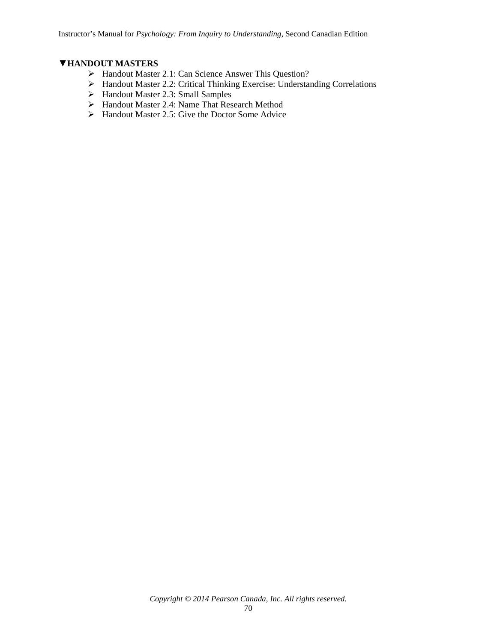# ▼**HANDOUT MASTERS**

- Handout Master 2.1: Can Science Answer This Question?
- Handout Master 2.2: Critical Thinking Exercise: Understanding Correlations
- Handout Master 2.3: Small Samples
- Handout Master 2.4: Name That Research Method
- $\triangleright$  Handout Master 2.5: Give the Doctor Some Advice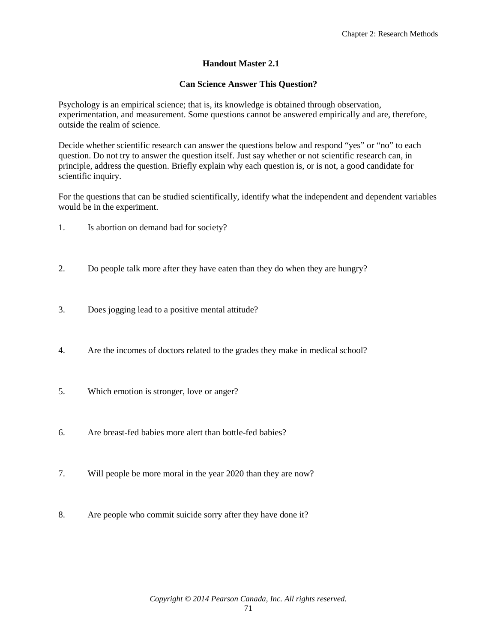# **Handout Master 2.1**

#### **Can Science Answer This Question?**

Psychology is an empirical science; that is, its knowledge is obtained through observation, experimentation, and measurement. Some questions cannot be answered empirically and are, therefore, outside the realm of science.

Decide whether scientific research can answer the questions below and respond "yes" or "no" to each question. Do not try to answer the question itself. Just say whether or not scientific research can, in principle, address the question. Briefly explain why each question is, or is not, a good candidate for scientific inquiry.

For the questions that can be studied scientifically, identify what the independent and dependent variables would be in the experiment.

- 1. Is abortion on demand bad for society?
- 2. Do people talk more after they have eaten than they do when they are hungry?
- 3. Does jogging lead to a positive mental attitude?
- 4. Are the incomes of doctors related to the grades they make in medical school?
- 5. Which emotion is stronger, love or anger?
- 6. Are breast-fed babies more alert than bottle-fed babies?
- 7. Will people be more moral in the year 2020 than they are now?
- 8. Are people who commit suicide sorry after they have done it?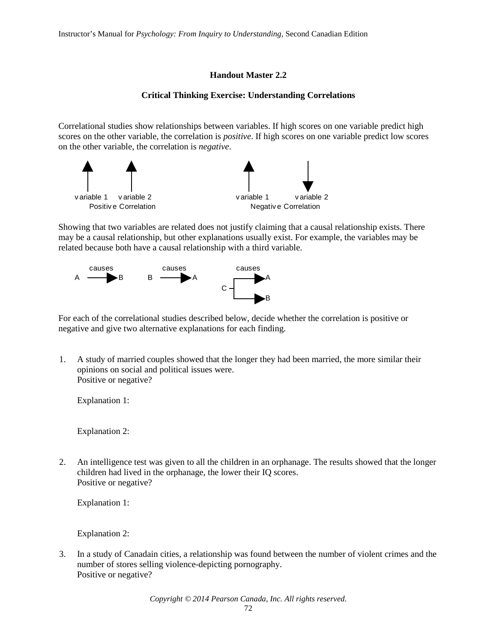# **Handout Master 2.2**

#### **Critical Thinking Exercise: Understanding Correlations**

Correlational studies show relationships between variables. If high scores on one variable predict high scores on the other variable, the correlation is *positive*. If high scores on one variable predict low scores on the other variable, the correlation is *negative*.



Showing that two variables are related does not justify claiming that a causal relationship exists. There may be a causal relationship, but other explanations usually exist. For example, the variables may be related because both have a causal relationship with a third variable.



For each of the correlational studies described below, decide whether the correlation is positive or negative and give two alternative explanations for each finding.

1. A study of married couples showed that the longer they had been married, the more similar their opinions on social and political issues were. Positive or negative?

Explanation 1:

Explanation 2:

2. An intelligence test was given to all the children in an orphanage. The results showed that the longer children had lived in the orphanage, the lower their IQ scores. Positive or negative?

Explanation 1:

Explanation 2:

3. In a study of Canadain cities, a relationship was found between the number of violent crimes and the number of stores selling violence-depicting pornography. Positive or negative?

*Copyright © 2014 Pearson Canada, Inc. All rights reserved.*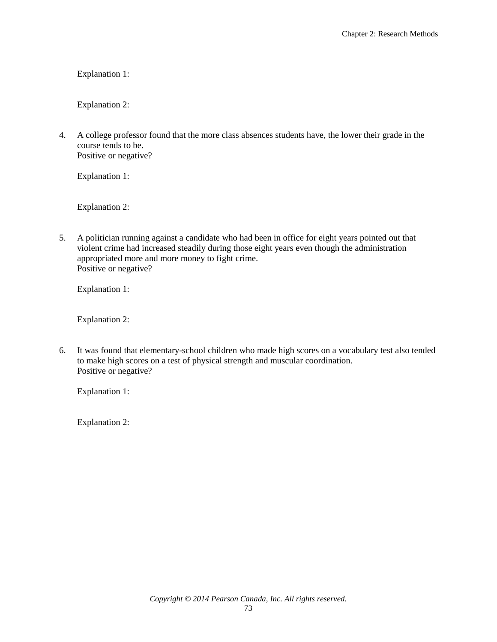Explanation 1:

Explanation 2:

4. A college professor found that the more class absences students have, the lower their grade in the course tends to be. Positive or negative?

Explanation 1:

Explanation 2:

5. A politician running against a candidate who had been in office for eight years pointed out that violent crime had increased steadily during those eight years even though the administration appropriated more and more money to fight crime. Positive or negative?

Explanation 1:

Explanation 2:

6. It was found that elementary-school children who made high scores on a vocabulary test also tended to make high scores on a test of physical strength and muscular coordination. Positive or negative?

Explanation 1:

Explanation 2: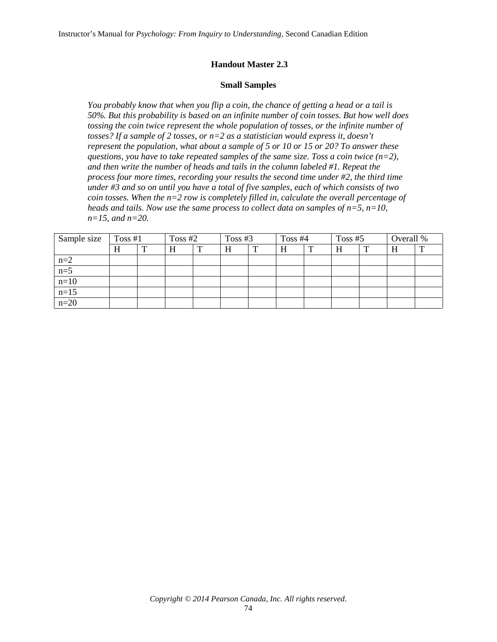## **Handout Master 2.3**

#### **Small Samples**

*You probably know that when you flip a coin, the chance of getting a head or a tail is 50%. But this probability is based on an infinite number of coin tosses. But how well does tossing the coin twice represent the whole population of tosses, or the infinite number of tosses? If a sample of 2 tosses, or n=2 as a statistician would express it, doesn't represent the population, what about a sample of 5 or 10 or 15 or 20? To answer these questions, you have to take repeated samples of the same size. Toss a coin twice (n=2), and then write the number of heads and tails in the column labeled #1. Repeat the process four more times, recording your results the second time under #2, the third time under #3 and so on until you have a total of five samples, each of which consists of two coin tosses. When the n=2 row is completely filled in, calculate the overall percentage of heads and tails. Now use the same process to collect data on samples of n=5, n=10, n=15, and n=20.*

| Sample size | Toss $#1$ |   | Toss $#2$ |   | Toss $#3$ |   | Toss $#4$ |   | Toss $#5$ |  | Overall % |              |
|-------------|-----------|---|-----------|---|-----------|---|-----------|---|-----------|--|-----------|--------------|
|             | H         | m |           | ௱ | Η         | ௱ |           | m | H         |  | п         | $\mathbf{r}$ |
| $n=2$       |           |   |           |   |           |   |           |   |           |  |           |              |
| $n=5$       |           |   |           |   |           |   |           |   |           |  |           |              |
| $n=10$      |           |   |           |   |           |   |           |   |           |  |           |              |
| $n = 15$    |           |   |           |   |           |   |           |   |           |  |           |              |
| $n=20$      |           |   |           |   |           |   |           |   |           |  |           |              |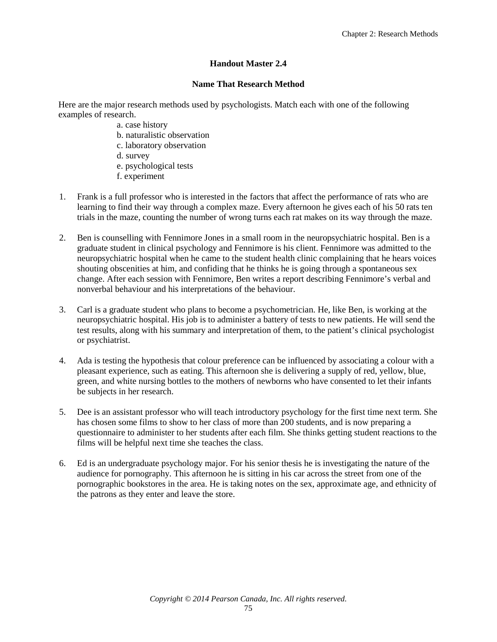# **Handout Master 2.4**

#### **Name That Research Method**

Here are the major research methods used by psychologists. Match each with one of the following examples of research.

- a. case history
- b. naturalistic observation
- c. laboratory observation
- d. survey
- e. psychological tests
- f. experiment
- 1. Frank is a full professor who is interested in the factors that affect the performance of rats who are learning to find their way through a complex maze. Every afternoon he gives each of his 50 rats ten trials in the maze, counting the number of wrong turns each rat makes on its way through the maze.
- 2. Ben is counselling with Fennimore Jones in a small room in the neuropsychiatric hospital. Ben is a graduate student in clinical psychology and Fennimore is his client. Fennimore was admitted to the neuropsychiatric hospital when he came to the student health clinic complaining that he hears voices shouting obscenities at him, and confiding that he thinks he is going through a spontaneous sex change. After each session with Fennimore, Ben writes a report describing Fennimore's verbal and nonverbal behaviour and his interpretations of the behaviour.
- 3. Carl is a graduate student who plans to become a psychometrician. He, like Ben, is working at the neuropsychiatric hospital. His job is to administer a battery of tests to new patients. He will send the test results, along with his summary and interpretation of them, to the patient's clinical psychologist or psychiatrist.
- 4. Ada is testing the hypothesis that colour preference can be influenced by associating a colour with a pleasant experience, such as eating. This afternoon she is delivering a supply of red, yellow, blue, green, and white nursing bottles to the mothers of newborns who have consented to let their infants be subjects in her research.
- 5. Dee is an assistant professor who will teach introductory psychology for the first time next term. She has chosen some films to show to her class of more than 200 students, and is now preparing a questionnaire to administer to her students after each film. She thinks getting student reactions to the films will be helpful next time she teaches the class.
- 6. Ed is an undergraduate psychology major. For his senior thesis he is investigating the nature of the audience for pornography. This afternoon he is sitting in his car across the street from one of the pornographic bookstores in the area. He is taking notes on the sex, approximate age, and ethnicity of the patrons as they enter and leave the store.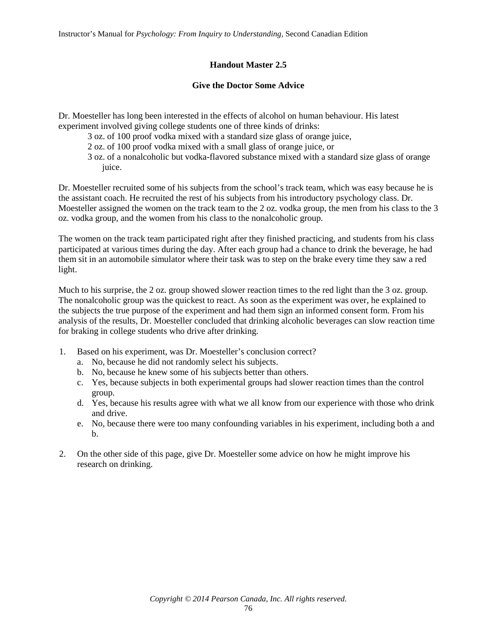Instructor's Manual for *Psychology: From Inquiry to Understanding*, Second Canadian Edition

# **Handout Master 2.5**

# **Give the Doctor Some Advice**

Dr. Moesteller has long been interested in the effects of alcohol on human behaviour. His latest experiment involved giving college students one of three kinds of drinks:

3 oz. of 100 proof vodka mixed with a standard size glass of orange juice,

- 2 oz. of 100 proof vodka mixed with a small glass of orange juice, or
- 3 oz. of a nonalcoholic but vodka-flavored substance mixed with a standard size glass of orange juice.

Dr. Moesteller recruited some of his subjects from the school's track team, which was easy because he is the assistant coach. He recruited the rest of his subjects from his introductory psychology class. Dr. Moesteller assigned the women on the track team to the 2 oz. vodka group, the men from his class to the 3 oz. vodka group, and the women from his class to the nonalcoholic group.

The women on the track team participated right after they finished practicing, and students from his class participated at various times during the day. After each group had a chance to drink the beverage, he had them sit in an automobile simulator where their task was to step on the brake every time they saw a red light.

Much to his surprise, the 2 oz. group showed slower reaction times to the red light than the 3 oz. group. The nonalcoholic group was the quickest to react. As soon as the experiment was over, he explained to the subjects the true purpose of the experiment and had them sign an informed consent form. From his analysis of the results, Dr. Moesteller concluded that drinking alcoholic beverages can slow reaction time for braking in college students who drive after drinking.

- 1. Based on his experiment, was Dr. Moesteller's conclusion correct?
	- a. No, because he did not randomly select his subjects.
	- b. No, because he knew some of his subjects better than others.
	- c. Yes, because subjects in both experimental groups had slower reaction times than the control group.
	- d. Yes, because his results agree with what we all know from our experience with those who drink and drive.
	- e. No, because there were too many confounding variables in his experiment, including both a and b.
- 2. On the other side of this page, give Dr. Moesteller some advice on how he might improve his research on drinking.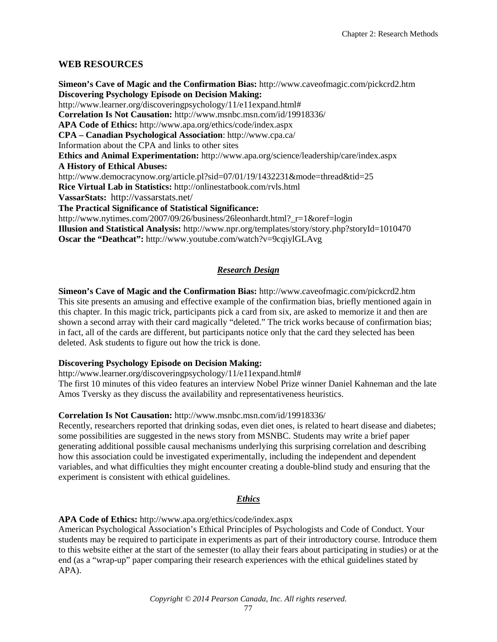# **WEB RESOURCES**

**Simeon's Cave of Magic and the Confirmation Bias:** http://www.caveofmagic.com/pickcrd2.htm **Discovering Psychology Episode on Decision Making:**  http://www.learner.org/discoveringpsychology/11/e11expand.html# **Correlation Is Not Causation:** http://www.msnbc.msn.com/id/19918336/ **APA Code of Ethics:** http://www.apa.org/ethics/code/index.aspx **CPA – Canadian Psychological Association**: http://www.cpa.ca/ Information about the CPA and links to other sites **Ethics and Animal Experimentation:** http://www.apa.org/science/leadership/care/index.aspx **A History of Ethical Abuses:**  http://www.democracynow.org/article.pl?sid=07/01/19/1432231&mode=thread&tid=25 **Rice Virtual Lab in Statistics:** http://onlinestatbook.com/rvls.html **VassarStats:** http://vassarstats.net/ **The Practical Significance of Statistical Significance:**  http://www.nytimes.com/2007/09/26/business/26leonhardt.html?\_r=1&oref=login **Illusion and Statistical Analysis:** http://www.npr.org/templates/story/story.php?storyId=1010470 **Oscar the "Deathcat":** http://www.youtube.com/watch?v=9cqiylGLAvg

# *Research Design*

**Simeon's Cave of Magic and the Confirmation Bias:** http://www.caveofmagic.com/pickcrd2.htm This site presents an amusing and effective example of the confirmation bias, briefly mentioned again in this chapter. In this magic trick, participants pick a card from six, are asked to memorize it and then are shown a second array with their card magically "deleted." The trick works because of confirmation bias; in fact, all of the cards are different, but participants notice only that the card they selected has been deleted. Ask students to figure out how the trick is done.

#### **Discovering Psychology Episode on Decision Making:**

http://www.learner.org/discoveringpsychology/11/e11expand.html#

The first 10 minutes of this video features an interview Nobel Prize winner Daniel Kahneman and the late Amos Tversky as they discuss the availability and representativeness heuristics.

#### **Correlation Is Not Causation:** http://www.msnbc.msn.com/id/19918336/

Recently, researchers reported that drinking sodas, even diet ones, is related to heart disease and diabetes; some possibilities are suggested in the news story from MSNBC. Students may write a brief paper generating additional possible causal mechanisms underlying this surprising correlation and describing how this association could be investigated experimentally, including the independent and dependent variables, and what difficulties they might encounter creating a double-blind study and ensuring that the experiment is consistent with ethical guidelines.

#### *[Ethics](#page-31-0)*

<span id="page-31-0"></span>**APA Code of Ethics:** http://www.apa.org/ethics/code/index.aspx

American Psychological Association's Ethical Principles of Psychologists and Code of Conduct. Your students may be required to participate in experiments as part of their introductory course. Introduce them to this website either at the start of the semester (to allay their fears about participating in studies) or at the end (as a "wrap-up" paper comparing their research experiences with the ethical guidelines stated by APA).

*Copyright © 2014 Pearson Canada, Inc. All rights reserved.*